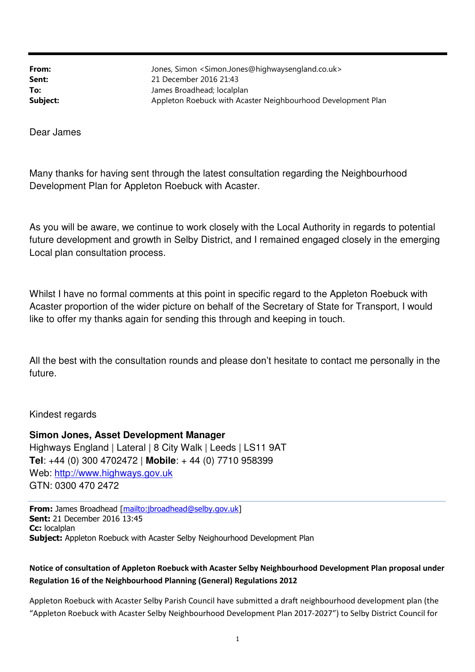From: Jones, Simon <Simon.Jones@highwaysengland.co.uk> Sent: 21 December 2016 21:43 **To:** James Broadhead; localplan Subject: Appleton Roebuck with Acaster Neighbourhood Development Plan

Dear James

Many thanks for having sent through the latest consultation regarding the Neighbourhood Development Plan for Appleton Roebuck with Acaster.

As you will be aware, we continue to work closely with the Local Authority in regards to potential future development and growth in Selby District, and I remained engaged closely in the emerging Local plan consultation process.

Whilst I have no formal comments at this point in specific regard to the Appleton Roebuck with Acaster proportion of the wider picture on behalf of the Secretary of State for Transport, I would like to offer my thanks again for sending this through and keeping in touch.

All the best with the consultation rounds and please don't hesitate to contact me personally in the future.

Kindest regards

**Simon Jones, Asset Development Manager**  Highways England | Lateral | 8 City Walk | Leeds | LS11 9AT **Tel**: +44 (0) 300 4702472 | **Mobile**: + 44 (0) 7710 958399 Web: http://www.highways.gov.uk GTN: 0300 470 2472

From: James Broadhead [mailto:jbroadhead@selby.gov.uk] Sent: 21 December 2016 13:45 Cc: localplan Subject: Appleton Roebuck with Acaster Selby Neighourhood Development Plan

# Notice of consultation of Appleton Roebuck with Acaster Selby Neighbourhood Development Plan proposal under Regulation 16 of the Neighbourhood Planning (General) Regulations 2012

Appleton Roebuck with Acaster Selby Parish Council have submitted a draft neighbourhood development plan (the "Appleton Roebuck with Acaster Selby Neighbourhood Development Plan 2017-2027") to Selby District Council for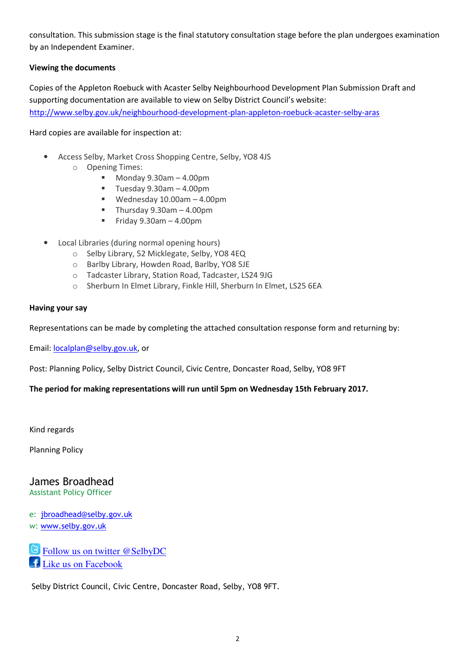consultation. This submission stage is the final statutory consultation stage before the plan undergoes examination by an Independent Examiner.

## Viewing the documents

Copies of the Appleton Roebuck with Acaster Selby Neighbourhood Development Plan Submission Draft and supporting documentation are available to view on Selby District Council's website: http://www.selby.gov.uk/neighbourhood-development-plan-appleton-roebuck-acaster-selby-aras

Hard copies are available for inspection at:

- Access Selby, Market Cross Shopping Centre, Selby, YO8 4JS
	- o Opening Times:
		- $Monday 9.30am 4.00pm$
		- $\blacksquare$  Tuesday 9.30am 4.00pm
		- Wednesday 10.00am 4.00pm
		- $\blacksquare$  Thursday 9.30am 4.00pm
		- Friday  $9.30$ am  $-4.00$ pm
- Local Libraries (during normal opening hours)
	- o Selby Library, 52 Micklegate, Selby, YO8 4EQ
	- o Barlby Library, Howden Road, Barlby, YO8 5JE
	- o Tadcaster Library, Station Road, Tadcaster, LS24 9JG
	- o Sherburn In Elmet Library, Finkle Hill, Sherburn In Elmet, LS25 6EA

#### Having your say

Representations can be made by completing the attached consultation response form and returning by:

Email: localplan@selby.gov.uk, or

Post: Planning Policy, Selby District Council, Civic Centre, Doncaster Road, Selby, YO8 9FT

### The period for making representations will run until 5pm on Wednesday 15th February 2017.

Kind regards

Planning Policy

# James Broadhead

Assistant Policy Officer

e: jbroadhead@selby.gov.uk w: www.selby.gov.uk

 Follow us on twitter @SelbyDC Like us on Facebook

Selby District Council, Civic Centre, Doncaster Road, Selby, YO8 9FT.